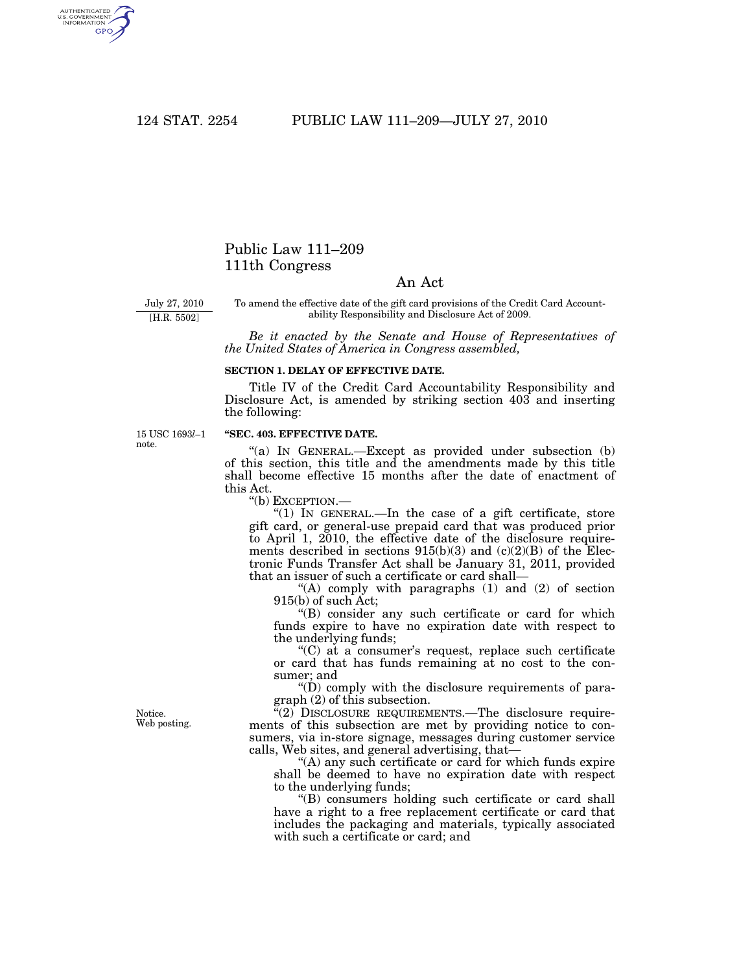AUTHENTICATED<br>U.S. GOVERNMENT<br>INFORMATION **GPO** 

## Public Law 111–209 111th Congress

## An Act

July 27, 2010

[H.R. 5502]

To amend the effective date of the gift card provisions of the Credit Card Accountability Responsibility and Disclosure Act of 2009.

*Be it enacted by the Senate and House of Representatives of the United States of America in Congress assembled,* 

## **SECTION 1. DELAY OF EFFECTIVE DATE.**

Title IV of the Credit Card Accountability Responsibility and Disclosure Act, is amended by striking section 403 and inserting the following:

15 USC 1693*l*–1 note.

## **''SEC. 403. EFFECTIVE DATE.**

"(a) IN GENERAL.—Except as provided under subsection (b) of this section, this title and the amendments made by this title shall become effective 15 months after the date of enactment of this Act.

''(b) EXCEPTION.—

" $(1)$  In GENERAL.—In the case of a gift certificate, store gift card, or general-use prepaid card that was produced prior to April 1, 2010, the effective date of the disclosure requirements described in sections  $915(b)(3)$  and  $(c)(2)(B)$  of the Electronic Funds Transfer Act shall be January 31, 2011, provided that an issuer of such a certificate or card shall—

"(A) comply with paragraphs  $(1)$  and  $(2)$  of section 915(b) of such Act;

''(B) consider any such certificate or card for which funds expire to have no expiration date with respect to the underlying funds;

 $C$ ) at a consumer's request, replace such certificate or card that has funds remaining at no cost to the consumer; and

 $\mathrm{``(D)}$  comply with the disclosure requirements of paragraph (2) of this subsection.

"(2) DISCLOSURE REQUIREMENTS.—The disclosure requirements of this subsection are met by providing notice to consumers, via in-store signage, messages during customer service calls, Web sites, and general advertising, that—

''(A) any such certificate or card for which funds expire shall be deemed to have no expiration date with respect to the underlying funds;

''(B) consumers holding such certificate or card shall have a right to a free replacement certificate or card that includes the packaging and materials, typically associated with such a certificate or card; and

Notice. Web posting.